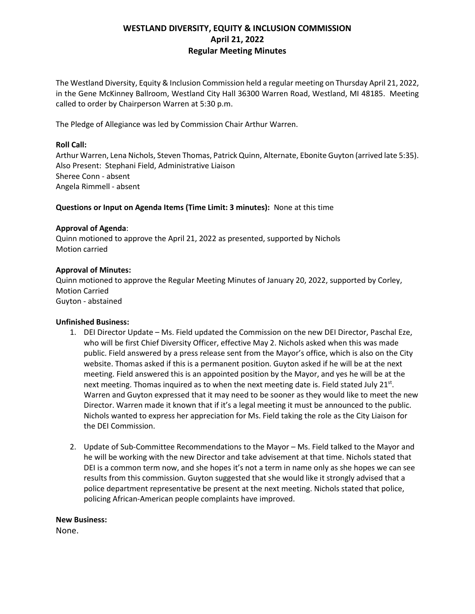# **WESTLAND DIVERSITY, EQUITY & INCLUSION COMMISSION April 21, 2022 Regular Meeting Minutes**

The Westland Diversity, Equity & Inclusion Commission held a regular meeting on Thursday April 21, 2022, in the Gene McKinney Ballroom, Westland City Hall 36300 Warren Road, Westland, MI 48185. Meeting called to order by Chairperson Warren at 5:30 p.m.

The Pledge of Allegiance was led by Commission Chair Arthur Warren.

# **Roll Call:**

Arthur Warren, Lena Nichols, Steven Thomas, Patrick Quinn, Alternate, Ebonite Guyton (arrived late 5:35). Also Present: Stephani Field, Administrative Liaison Sheree Conn - absent Angela Rimmell - absent

## **Questions or Input on Agenda Items (Time Limit: 3 minutes):** None at this time

## **Approval of Agenda**:

Quinn motioned to approve the April 21, 2022 as presented, supported by Nichols Motion carried

## **Approval of Minutes:**

Quinn motioned to approve the Regular Meeting Minutes of January 20, 2022, supported by Corley, Motion Carried Guyton - abstained

#### **Unfinished Business:**

- 1. DEI Director Update Ms. Field updated the Commission on the new DEI Director, Paschal Eze, who will be first Chief Diversity Officer, effective May 2. Nichols asked when this was made public. Field answered by a press release sent from the Mayor's office, which is also on the City website. Thomas asked if this is a permanent position. Guyton asked if he will be at the next meeting. Field answered this is an appointed position by the Mayor, and yes he will be at the next meeting. Thomas inquired as to when the next meeting date is. Field stated July 21st. Warren and Guyton expressed that it may need to be sooner as they would like to meet the new Director. Warren made it known that if it's a legal meeting it must be announced to the public. Nichols wanted to express her appreciation for Ms. Field taking the role as the City Liaison for the DEI Commission.
- 2. Update of Sub-Committee Recommendations to the Mayor Ms. Field talked to the Mayor and he will be working with the new Director and take advisement at that time. Nichols stated that DEI is a common term now, and she hopes it's not a term in name only as she hopes we can see results from this commission. Guyton suggested that she would like it strongly advised that a police department representative be present at the next meeting. Nichols stated that police, policing African-American people complaints have improved.

#### **New Business:**

None.